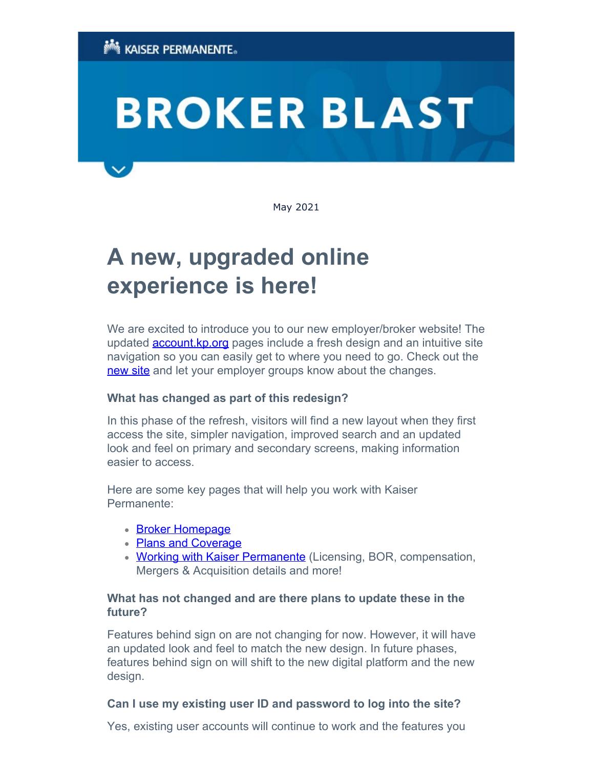# **BROKER BLAST**

May 2021

## **A new, upgraded online experience is here!**

We are excited to introduce you to our new employer/broker website! The updated **account.kp.org** pages include a fresh design and an intuitive site navigation so you can easily get to where you need to go. Check out the [new site](https://account.kp.org/business) and let your employer groups know about the changes.

### **What has changed as part of this redesign?**

In this phase of the refresh, visitors will find a new layout when they first access the site, simpler navigation, improved search and an updated look and feel on primary and secondary screens, making information easier to access.

Here are some key pages that will help you work with Kaiser Permanente:

- [Broker Homepage](https://account.kp.org/business/broker/broker-landing)
- [Plans and Coverage](https://account.kp.org/business/broker/plans-landing)
- **[Working with Kaiser Permanente](https://account.kp.org/business/broker/working-with-kp)** (Licensing, BOR, compensation, Mergers & Acquisition details and more!

### **What has not changed and are there plans to update these in the future?**

Features behind sign on are not changing for now. However, it will have an updated look and feel to match the new design. In future phases, features behind sign on will shift to the new digital platform and the new design.

### **Can I use my existing user ID and password to log into the site?**

Yes, existing user accounts will continue to work and the features you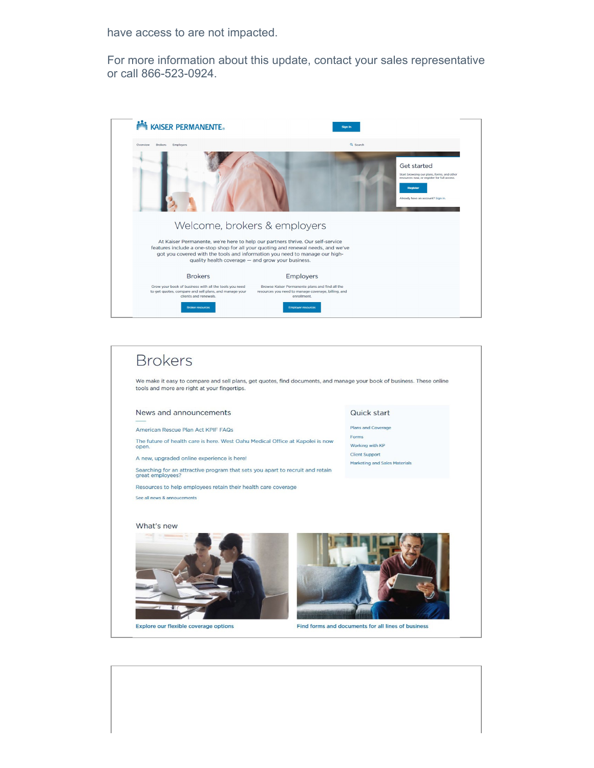have access to are not impacted.

For more information about this update, contact your sales representative or call 866-523-0924.